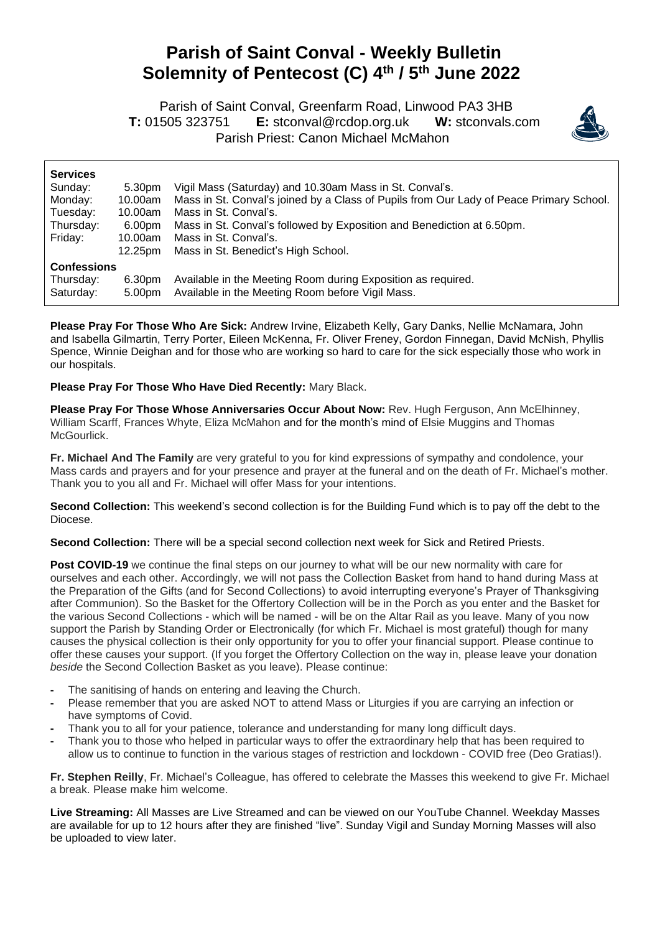## **Parish of Saint Conval - Weekly Bulletin Solemnity of Pentecost (C) 4 th / 5th June 2022**

 Parish of Saint Conval, Greenfarm Road, Linwood PA3 3HB **T:** 01505 323751 **E:** [stconval@rcdop.org.uk](mailto:stconval@rcdop.org.uk) **W:** stconvals.com Parish Priest: Canon Michael McMahon



| <b>Services</b>    |         |                                                                                         |
|--------------------|---------|-----------------------------------------------------------------------------------------|
| Sunday:            | 5.30pm  | Vigil Mass (Saturday) and 10.30am Mass in St. Conval's.                                 |
| Monday:            | 10.00am | Mass in St. Conval's joined by a Class of Pupils from Our Lady of Peace Primary School. |
| Tuesday:           | 10.00am | Mass in St. Conval's.                                                                   |
| Thursday:          | 6.00pm  | Mass in St. Conval's followed by Exposition and Benediction at 6.50pm.                  |
| Friday:            | 10.00am | Mass in St. Conval's.                                                                   |
|                    | 12.25pm | Mass in St. Benedict's High School.                                                     |
| <b>Confessions</b> |         |                                                                                         |
| Thursday:          | 6.30pm  | Available in the Meeting Room during Exposition as required.                            |
| Saturday:          | 5.00pm  | Available in the Meeting Room before Vigil Mass.                                        |

**Please Pray For Those Who Are Sick:** Andrew Irvine, Elizabeth Kelly, Gary Danks, Nellie McNamara, John and Isabella Gilmartin, Terry Porter, Eileen McKenna, Fr. Oliver Freney, Gordon Finnegan, David McNish, Phyllis Spence, Winnie Deighan and for those who are working so hard to care for the sick especially those who work in our hospitals.

**Please Pray For Those Who Have Died Recently:** Mary Black.

**Please Pray For Those Whose Anniversaries Occur About Now:** Rev. Hugh Ferguson, Ann McElhinney, William Scarff, Frances Whyte, Eliza McMahon and for the month's mind of Elsie Muggins and Thomas McGourlick.

**Fr. Michael And The Family** are very grateful to you for kind expressions of sympathy and condolence, your Mass cards and prayers and for your presence and prayer at the funeral and on the death of Fr. Michael's mother. Thank you to you all and Fr. Michael will offer Mass for your intentions.

**Second Collection:** This weekend's second collection is for the Building Fund which is to pay off the debt to the Diocese.

**Second Collection:** There will be a special second collection next week for Sick and Retired Priests.

**Post COVID-19** we continue the final steps on our journey to what will be our new normality with care for ourselves and each other. Accordingly, we will not pass the Collection Basket from hand to hand during Mass at the Preparation of the Gifts (and for Second Collections) to avoid interrupting everyone's Prayer of Thanksgiving after Communion). So the Basket for the Offertory Collection will be in the Porch as you enter and the Basket for the various Second Collections - which will be named - will be on the Altar Rail as you leave. Many of you now support the Parish by Standing Order or Electronically (for which Fr. Michael is most grateful) though for many causes the physical collection is their only opportunity for you to offer your financial support. Please continue to offer these causes your support. (If you forget the Offertory Collection on the way in, please leave your donation *beside* the Second Collection Basket as you leave). Please continue:

- **-** The sanitising of hands on entering and leaving the Church.
- **-** Please remember that you are asked NOT to attend Mass or Liturgies if you are carrying an infection or have symptoms of Covid.
- **-** Thank you to all for your patience, tolerance and understanding for many long difficult days.
- **-** Thank you to those who helped in particular ways to offer the extraordinary help that has been required to allow us to continue to function in the various stages of restriction and lockdown - COVID free (Deo Gratias!).

**Fr. Stephen Reilly**, Fr. Michael's Colleague, has offered to celebrate the Masses this weekend to give Fr. Michael a break. Please make him welcome.

**Live Streaming:** All Masses are Live Streamed and can be viewed on our YouTube Channel. Weekday Masses are available for up to 12 hours after they are finished "live". Sunday Vigil and Sunday Morning Masses will also be uploaded to view later.